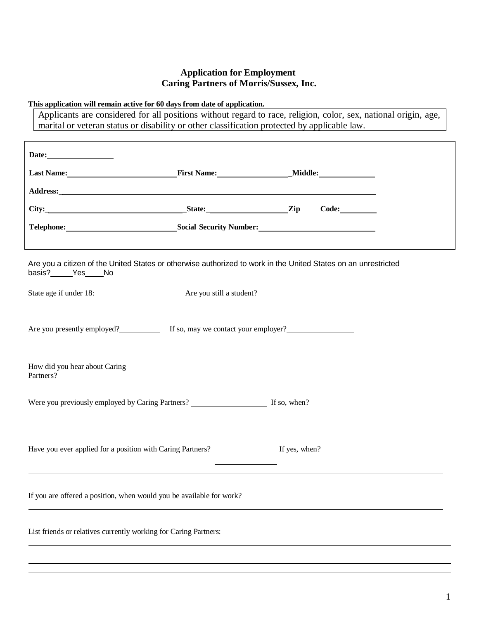## **Application for Employment Caring Partners of Morris/Sussex, Inc.**

#### **This application will remain active for 60 days from date of application.**

Applicants are considered for all positions without regard to race, religion, color, sex, national origin, age, marital or veteran status or disability or other classification protected by applicable law.

|                                                                                                                          | Telephone: Social Security Number: Social Security Number:                                                                                                                                                                                                                                                                                              |  |  |  |  |
|--------------------------------------------------------------------------------------------------------------------------|---------------------------------------------------------------------------------------------------------------------------------------------------------------------------------------------------------------------------------------------------------------------------------------------------------------------------------------------------------|--|--|--|--|
| basis?_____Yes____No<br>State age if under 18:                                                                           | Are you a citizen of the United States or otherwise authorized to work in the United States on an unrestricted<br>Are you still a student?<br><u>Letter and the student</u> of the state of the state of the state of the state of the state of the state of the state of the state of the state of the state of the state of the state of the state of |  |  |  |  |
| Are you presently employed? If so, may we contact your employer?                                                         |                                                                                                                                                                                                                                                                                                                                                         |  |  |  |  |
| How did you hear about Caring                                                                                            | Partners?                                                                                                                                                                                                                                                                                                                                               |  |  |  |  |
| <u> 1989 - Johann Stoff, deutscher Stoffen und der Stoffen und der Stoffen und der Stoffen und der Stoffen und de</u>    |                                                                                                                                                                                                                                                                                                                                                         |  |  |  |  |
| Have you ever applied for a position with Caring Partners? If yes, when?<br><u> The Common State Common State Common</u> |                                                                                                                                                                                                                                                                                                                                                         |  |  |  |  |
| If you are offered a position, when would you be available for work?                                                     |                                                                                                                                                                                                                                                                                                                                                         |  |  |  |  |
| List friends or relatives currently working for Caring Partners:                                                         |                                                                                                                                                                                                                                                                                                                                                         |  |  |  |  |
|                                                                                                                          |                                                                                                                                                                                                                                                                                                                                                         |  |  |  |  |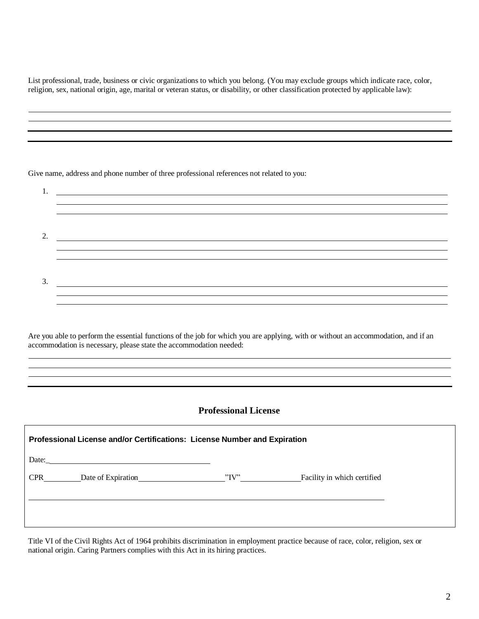List professional, trade, business or civic organizations to which you belong. (You may exclude groups which indicate race, color, religion, sex, national origin, age, marital or veteran status, or disability, or other classification protected by applicable law):

<u> 1989 - Johann Stoff, amerikansk politiker (\* 1908)</u> ,我们也不会有什么。""我们的人,我们也不会有什么?""我们的人,我们也不会有什么?""我们的人,我们的人,我们也不会有什么?""我们的人,我们的人,我们的人,

Give name, address and phone number of three professional references not related to you:

1. 2. <u> 1989 - Andrea Stadt Britain, amerikansk politik (\* 1989)</u> ,我们也不会有一个人的人,我们也不会有一个人的人,我们也不会有一个人的人。""我们,我们也不会有一个人的人,我们也不会有一个人的人。""我们,我们也不会有一个人 3. <u> 1989 - Andrea Stadt Britain, amerikansk politik (d. 1989)</u>

Are you able to perform the essential functions of the job for which you are applying, with or without an accommodation, and if an accommodation is necessary, please state the accommodation needed:

#### **Professional License**

<u> 1989 - Johann Stoff, amerikansk politiker (d. 1989)</u>

| Professional License and/or Certifications: License Number and Expiration |                                                                            |  |                             |  |
|---------------------------------------------------------------------------|----------------------------------------------------------------------------|--|-----------------------------|--|
|                                                                           | Date: $\qquad \qquad$                                                      |  |                             |  |
| <b>CPR</b>                                                                | Date of Expiration Manuscripture of Expiration Manuscripture of Expiration |  | Facility in which certified |  |
|                                                                           |                                                                            |  |                             |  |
|                                                                           |                                                                            |  |                             |  |

Title VI of the Civil Rights Act of 1964 prohibits discrimination in employment practice because of race, color, religion, sex or national origin. Caring Partners complies with this Act in its hiring practices.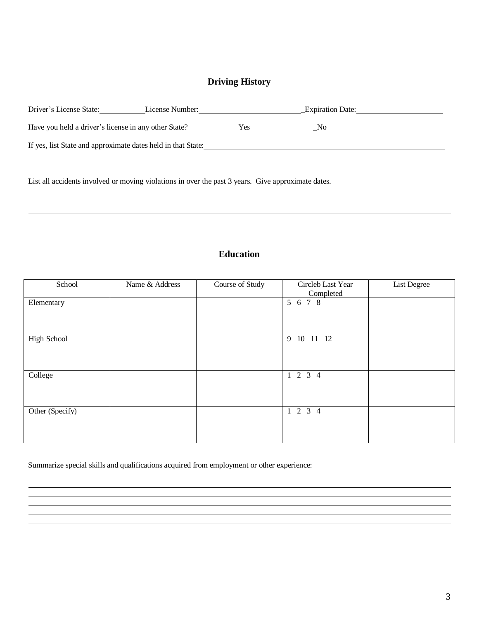## **Driving History**

| Driver's License State:                                      | License Number: |      | <b>Expiration Date:</b> |
|--------------------------------------------------------------|-----------------|------|-------------------------|
| Have you held a driver's license in any other State?         |                 | Yes. | No.                     |
| If yes, list State and approximate dates held in that State: |                 |      |                         |

List all accidents involved or moving violations in over the past 3 years. Give approximate dates.

# **Education**

| School             | Name & Address | Course of Study | Circleb Last Year<br>Completed | List Degree |
|--------------------|----------------|-----------------|--------------------------------|-------------|
| Elementary         |                |                 | 5 6 7 8                        |             |
| <b>High School</b> |                |                 | 9 10 11 12                     |             |
| College            |                |                 | $1 \t2 \t3 \t4$                |             |
| Other (Specify)    |                |                 | $1 \t2 \t3 \t4$                |             |

Summarize special skills and qualifications acquired from employment or other experience: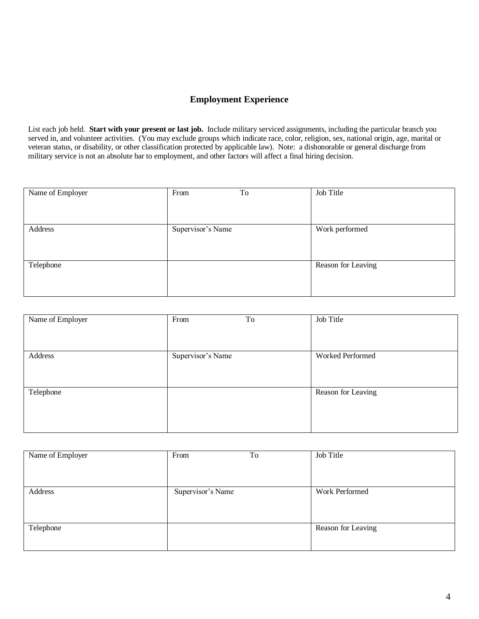### **Employment Experience**

List each job held. **Start with your present or last job.** Include military serviced assignments, including the particular branch you served in, and volunteer activities. (You may exclude groups which indicate race, color, religion, sex, national origin, age, marital or veteran status, or disability, or other classification protected by applicable law). Note: a dishonorable or general discharge from military service is not an absolute bar to employment, and other factors will affect a final hiring decision.

| Name of Employer | To<br>From        | Job Title          |
|------------------|-------------------|--------------------|
|                  |                   |                    |
|                  |                   |                    |
| Address          | Supervisor's Name | Work performed     |
|                  |                   |                    |
|                  |                   |                    |
| Telephone        |                   | Reason for Leaving |
|                  |                   |                    |
|                  |                   |                    |

| Name of Employer | From              | To | Job Title          |
|------------------|-------------------|----|--------------------|
|                  |                   |    |                    |
| Address          | Supervisor's Name |    | Worked Performed   |
|                  |                   |    |                    |
| Telephone        |                   |    | Reason for Leaving |
|                  |                   |    |                    |
|                  |                   |    |                    |

| Name of Employer | From              | To | Job Title          |
|------------------|-------------------|----|--------------------|
|                  |                   |    |                    |
|                  |                   |    |                    |
|                  |                   |    |                    |
|                  |                   |    |                    |
|                  |                   |    |                    |
|                  |                   |    |                    |
| Address          | Supervisor's Name |    | Work Performed     |
|                  |                   |    |                    |
|                  |                   |    |                    |
|                  |                   |    |                    |
|                  |                   |    |                    |
|                  |                   |    |                    |
|                  |                   |    |                    |
| Telephone        |                   |    | Reason for Leaving |
|                  |                   |    |                    |
|                  |                   |    |                    |
|                  |                   |    |                    |
|                  |                   |    |                    |